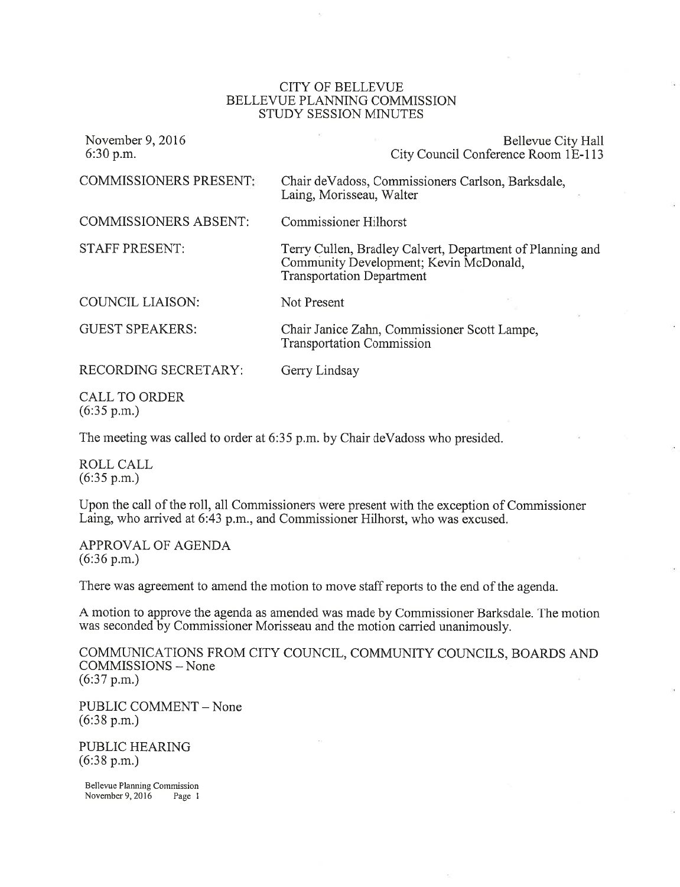### CITY OF BELLEVUE BELLEVUE PLANNING COMMISSION STUDY SESSION MINUTES

| November 9, 2016<br>6:30 p.m. | Bellevue City Hall<br>City Council Conference Room 1E-113                                                                               |
|-------------------------------|-----------------------------------------------------------------------------------------------------------------------------------------|
| <b>COMMISSIONERS PRESENT:</b> | Chair de Vadoss, Commissioners Carlson, Barksdale,<br>Laing, Morisseau, Walter                                                          |
| <b>COMMISSIONERS ABSENT:</b>  | <b>Commissioner Hilhorst</b>                                                                                                            |
| <b>STAFF PRESENT:</b>         | Terry Cullen, Bradley Calvert, Department of Planning and<br>Community Development; Kevin McDonald,<br><b>Transportation Department</b> |
| <b>COUNCIL LIAISON:</b>       | Not Present                                                                                                                             |
| <b>GUEST SPEAKERS:</b>        | Chair Janice Zahn, Commissioner Scott Lampe,<br><b>Transportation Commission</b>                                                        |
| RECORDING SECRETARY:          | Gerry Lindsay                                                                                                                           |
| CALL TO ORDER                 |                                                                                                                                         |

CALL TO ORDER  $(6:35 \text{ p.m.})$ 

The meeting was called to order at 6:35 p.m. by Chair deVadoss who presided.

ROLL CALL (6:35 p.m.)

Upon the call of the roll, all Commissioners were present with the exception of Commissioner Laing, who arrived at 6:43 p.m., and Commissioner Hilhorst, who was excused.

APPROVAL OF AGENDA (6:36 p.m.)

There was agreement to amend the motion to move staff reports to the end of the agenda.

A motion to approve the agenda as amended was made by Commissioner Barksdale. The motion was seconded by Commissioner Morisseau and the motion carried unanimously.

COMMUNICATIONS FROM CITY COUNCIL, COMMUNITY COUNCILS, BOARDS AND COMMISSIONS - None (6:37 p.m.)

PUBLIC COMMENT - None (6:38 p.m.)

PUBLIC HEARING (6:38 p.m.)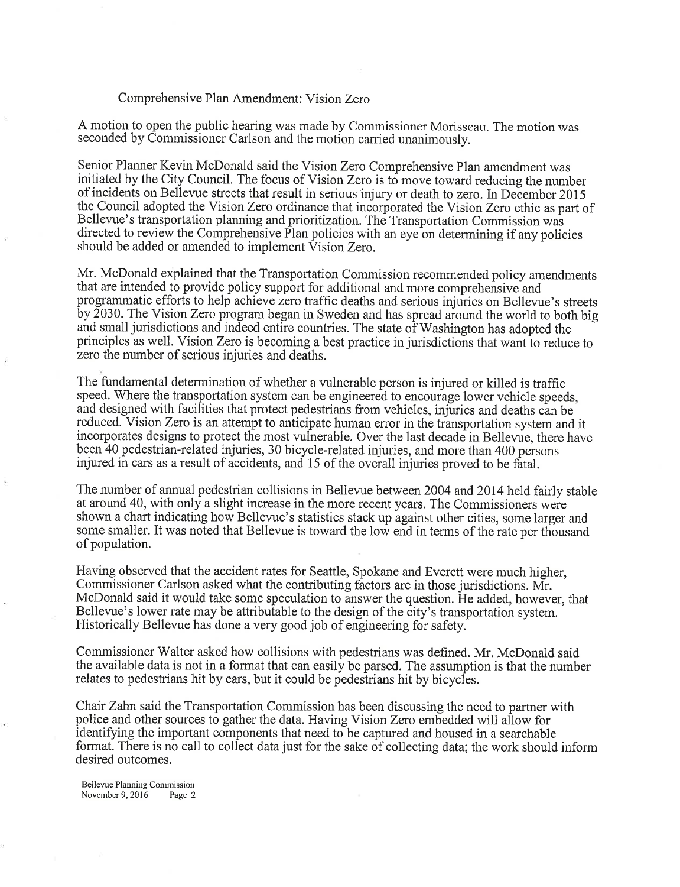#### Comprehensive Plan Amendment: Vision Zero

<sup>A</sup>motion to open the public hearing was made by Commissioner Morisseau. The motion was seconded by Commissioner Carlson and the motion carried unanimously.

Senior Planner Kevin McDonald said the Vision Zero Comprehensive Plan amendment was initiated by the City Council. The focus of Vision Zero is to move toward reducing the number of incidents on Bellevue streets that result in serious injury or death to zero. In December 2015 the Council adopted the Vision Zero ordinance that incorporated the Vision Zero ethic as part of Bellevue's transportation planning and prioritization. The Transportation Commission was directed to review the Comprehensive Plan policies with an eye on determining if any policies should be added or amended to implement Vision Zero.

Mr. McDonald explained that the Transportation Commission recommended policy amendments that are intended to provide policy support for additional and more comprehensive-and programmatic efforts to help achieve zero traffic deaths and serious injuries on Bellevue's streets by 2030. The Vision Zero program began in Sweden and has spread around the world to both big and small jurisdictions and indeed entire countries. The state of Washington has adopted the principles as well. Vision Zero is becoming a best practice in jurisdictions that want to reduce to zero the number of serious injuries and deaths.

The fundamental determination of whether a vulnerable person is injured or killed is traffic speed. Where the transportation system can be engineered to encourage lower vehicle speeds, and designed with facilities that protect pedestrians from vehicles, injuries and deaths can be reduced. Vision Zero is an attempt to anticipate human error in the transportation system and it incorporates designs to protect the most vulnerable. Over the last decade in Bellevue, there have been 40 pedestrian-related injuries, 30 bicycle-related injuries, and more than 400 persons injured in cars as a result of accidents, and 15 of the overall injuries proved to be fatal.

The number of annual pedestrian collisions in Bellevue between 2004 and 2014 held fairly stable at around 40, with only a slight increase in the more recent years. The Commissioners were shown a chart indicating how Bellevue's statistics stack up against other cities, some larger and some smaller. It was noted that Bellewe is toward the low end in terms of the rate per thousand of population.

Having observed that the accident rates for Seattle, Spokane and Everett were much higher, Commissioner Carlson asked what the contributing factors are in those jurisdictions. Mr. McDonald said it would take some speculation to answer the question. He added, however, that Bellevue's lower rate may be attributable to the design of the city's transportation system. Historically Bellevue has done a very good job of engineering for safety.

Commissioner Walter asked how collisions with pedestrians was defined. Mr. McDonald said the available data is not in a format that can easily be parsed. The assumption is that the number relates to pedestrians hit by cars, but it could be pedestrians hit by bicycles.

Chair Zahn said the Transportation Commission has been discussing the need to partner with police and other sources to gather the data. Having Vision Zero embedded will allow for identifying the important components that need to be captured and housed in a searchable format. There is no call to collect data just for the sake of collecting data; the work should inform desired outcomes.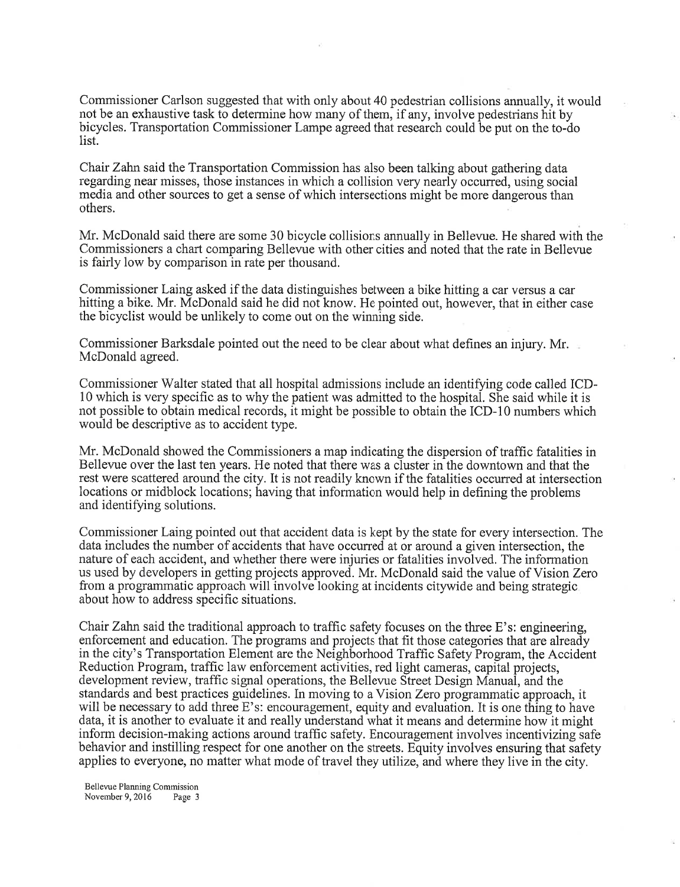Commissioner Carlson suggested that with only about 40 pedestrian collisions annually, it would not be an exhaustive task to determine how many of them, if any, involve pedestrians hit by bicycles. Transportation Commissioner Lampe agreed that research could be put on the to-do list<sup>1</sup>

Chair Zahn said the Transportation Commission has also been talking about gathering data regarding near misses, those instances in which a collision very nearly occurred, using social media and other sources to get a sense of which intersections might be more dangerous than others.

Mr. McDonald said there are some 30 bicycle collisions annually in Bellevue. He shared with the Commissioners a chart comparing Bellevue with other cities and noted that the rate in Bellevue is fairly low by comparison in rate per thousand.

Commissioner Laing asked if the data distinguishes between a bike hitting a car versus a car hitting a bike. Mr. McDonald said he did not know. He pointed out, however, that in either case the bicyclist would be unlikely to come out on the winning side.

Commissioner Barksdale pointed out the need to be clear about what defines an injury. Mr. McDonald agreed.

Commissioner Walter stated that all hospital admissions include an identifying code called ICD-<sup>10</sup>which is very specific as to why the patient was admitted to the hospital. She said while it is not possible to obtain medical records, it might be possible to obtain the ICD-10 numbers which would be descriptive as to accident type.

Mr. McDonald showed the Commissioners a map indicating the dispersion of traffic fatalities in Bellevue over the last ten years. He noted that there was a cluster in the downtown and that the rest were scattered around the city. It is not readily known if the fatalities occurred at intersection locations or midblock locations; having that information would help in defining the problems and identifying solutions.

Commissioner Laing pointed out that accident data is kept by the state for every intersection. The data includes the number of accidents that have occurred at or around a given intersection, the nature of each accident, and whether there were injuries or fatalities involved. The information us used by developers in getting projects approved. Mr. McDonald said the value of Vision Zero from a programmatic approach will involve looking at incidents citywide and being strategic about how to address specific situations.

Chair Zahn said the traditional approach to traffic safety focuses on the three E's: engineering, enforcement and education. The programs and projects that fit those categories that are already in the city's Transportation Element are the Neighborhood Traffic Safety Program, the Accident Reduction Program, traffic law enforcement activities, red light cameras, capital projects, development review, traffic signal operations, the Bellevue Street Design Manual, and the standards and best practices guidelines. In moving to a Vision Zero programmatic approach, it will be necessary to add three E's: encouragement, equity and evaluation. It is one thing to have data, it is another to evaluate it and really understand what it means and determine how it might inform decision-making actions around traffic safety. Encouragement involves incentivizing safe behavior and instilling respect for one another on the streets. Equity involves ensuring that safety applies to everyone, no matter what mode of travel they utilize, and where they live in the city.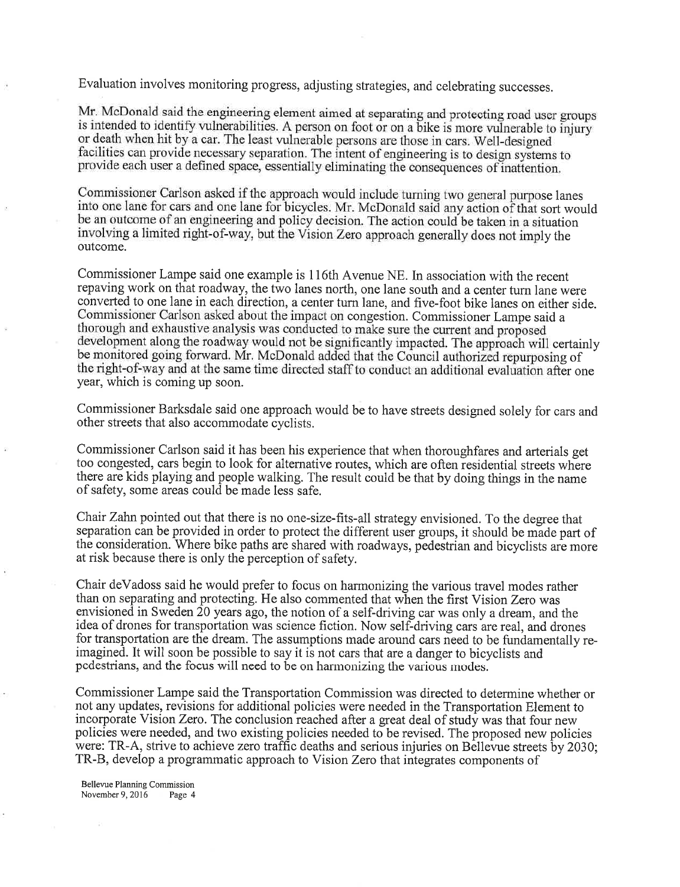Evaluation involves monitoring progress, adjusting strategies, and celebrating successes.

Mr. McDonald said the engineering element aimed at separating and protecting road user groups is intended to identify vulnerabilities. A person on foot or on a bike is more vulnerable to injury or death when hit by a car. The least vulnerable persons are those in cars. Well-designed facilities can provide necessary separation. The intent of engineering is to design systems to provide each user a defined space, essentially eliminating the consequences of inattention.

Commissioner Carlson asked if the approach would include turning two general purpose lanes into one lane for cars and one lane for bicycles. Mr. McDonald said any action of that sort would be an outcome of an engineering and policy decision. The action could be taken in a situation outcome. involving a limited right-of-way, but the Vision Zero approach generally does not imply the

Commissioner Lampe said one example is 116th Avenue NE. In association with the recent repaving work on that roadway, the two lanes north, one lane south and a center turn lane were converted to one lane in each direction, a center turn lane, and five-foot bike lanes on either side. Commissioner Carlson asked about the impact on congestion. Commissioner Lampe said a thorough and exhaustive analysis was conducted to make sure the current and proposed development along the roadway would not be significantly impacted. The approach will certainly be monitored going forward. Mr. McDonald added that the Council authorized repurposing of the right-of-way and at the same time directed staff to conduct an additional evaluation after one year, which is coming up soon.

Commissioner Barksdale said one approach would be to have streets designed solely for cars and other streets that also accommodate cyclists.

Commissioner Carlson said it has been his experience that when thoroughfares and arterials get too congested, cars begin to look for alternative routes, which are often residential streets where there are kids playing and people walking. The result could be that by doing things in the name of safety, some areas could be made less safe.

Chair Zahn pointed out that there is no one-size-fits-all strategy envisioned. To the degree that separation can be provided in order to protect the different user groups, it should be made part of the consideration. Where bike paths are shared with roadways, pedestrian and bicyclists are more at risk because there is only the perception of safety.

Chair deVadoss said he would prefer to focus on harmonizing the various travel modes rather than on separating and protecting. He also commented that when the first Vision Zero was envisioned in Sweden 20 years ago, the notion of a self-driving car was only a dream, and the idea of drones for transportation was science fiction. Now self-driving cars are real, and drones for transportation are the dream. The assumptions made around cars need to be fundamentally reimagined. It will soon be possible to say it is not cars that are a danger to bicyclists and pedestrians, and the focus will need to be on harmonizing the various modes.

Commissioner Lampe said the Transportation Commission was directed to determine whether or not any updates, revisions for additional policies were needed in the Transportation Element to incorporate Vision Zero. The conclusion reached after a great deal of study was that four new policies were needed, and two existing policies needed to be revised. The proposed new policies were: TR-A, strive to achieve zero traffic deaths and serious injuries on Bellevue streets by 2030; TR-B, develop a programmatic approach to Vision Zero that integrates components of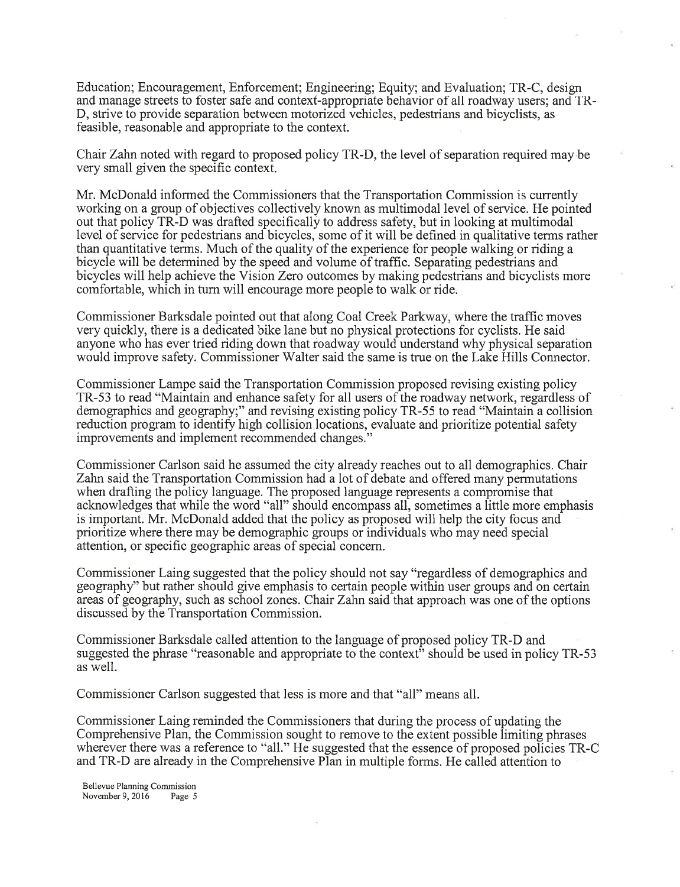Education; Encouragement, Enforcement; Engineering; Equity; and Evaluation; TR-C, design and manage streets to foster safe and contexi-appropriate behavior of all roadway users; and TR-D, strive to provide separation between motorized vehicles, pedestrians and bicyclists, as feasible, reasonable and appropriate to the context.

Chair Zahn noted with regard to proposed policy TR-D, the level of separation required may be very small given the specific context.

Mr. McDonald informed the Commissioners that the Transportation Commission is currently working on a group of objectives collectively known as multimodal level of service. He pointed out that policy TR-D was drafted specifically to address safety, but in looking at multimodal level of service for pedestrians and bicycles, some of it will be defined in qualitative terms rather than quantitative terms. Much of the quality of the experience for people walking or riding <sup>a</sup> bicycle will be determined by the speed and volume of traffic. Separating pedestrians and bicycles will help achieve the Vision Zero outcomes by making pedestrians and bicyclists more comfortable, which in tum will encourage more people to walk or ride.

Commissioner Barksdale pointed out that along Coal Creek Parkway, where the traffic moves very quickly, there is a dedicated bike lane but no physical protections for cyclists. He said anyone who has ever tried riding down that roadway would understand why physical separation would improve safety. Commissioner Walter said the same is true on the Lake Hills Connector.

Commissioner Lampe said the Transportation Commission proposed revising existing policy TR-53 to read "Maintain and enhance safety for all users of the roadway network, regardless of demographics and geography;" and revising existing policy TR-55 to read "Maintain a collision reduction program to identify high collision locations, evaluate and prioritize potential safety improvements and implement recommended changes. "

Commissioner Carlson said he assumed the city already reaches out to all demographics. Chair Zahn said the Transportation Commission had a lot of debate and offered many permutations when drafting the policy language. The proposed language represents a compromise that acknowledges that while the word "all" should encompass all, sometimes a little more emphasis is important. Mr. McDonald added that the policy as proposed will help the city focus and prioritize where there may be demographic groups or individuals who may need special attention, or specific geographic areas of special concem.

Commissioner Laing suggested that the policy should not say "regardless of demographics and geography''but rather should give emphasis to certain people within user groups and on certain areas of geography, such as school zones. Chair Zahn said that approach was one of the options discussed by the Transportation Commission.

Commissioner Barksdale called attention to the language of proposed policy TR-D and suggested the phrase "reasonable and appropriate to the context" should be used in policy TR-53 as well.

Commissioner Carlson suggested that less is more and that "all" means all.

Commissioner Laing reminded the Commissioners that during the process of updating the Comprehensive Plan, the Commission sought to remove to the extent possible limiting phrases wherever there was a reference to "a11." He suggested that the essence of proposed policies TR-C and TR-D are already in the Comprehensive Plan in multiple forms. He called attention to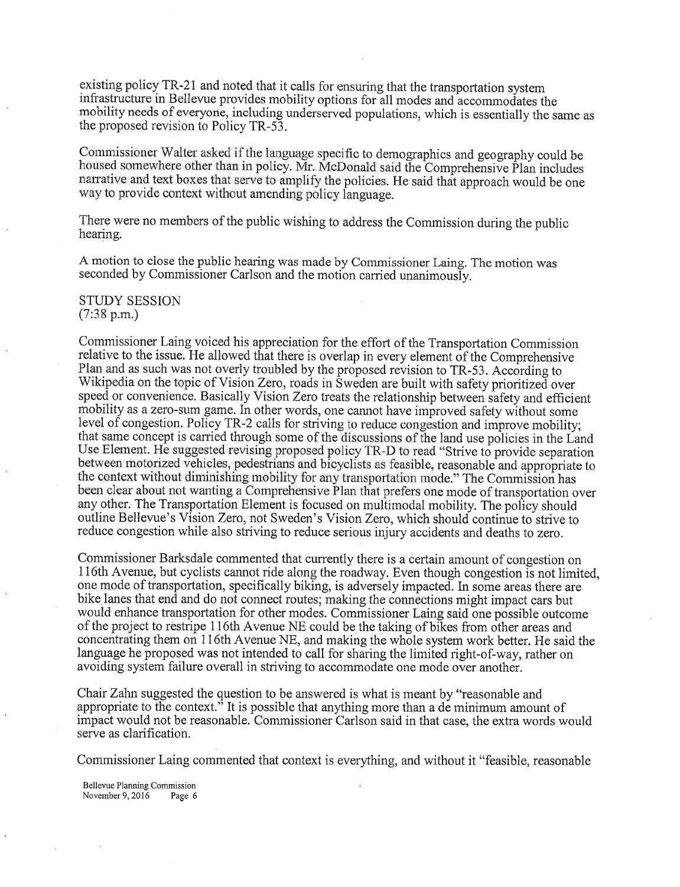existing policy TR-21 and noted that it calls for ensuring that the transportation system infrastructure in Bellevue provides mobility options for all modes and accommodates the mobility needs of everyone, including underserved populations, which is essentially the same as the proposed revision fo Policy TR-53.

Commissioner Walter asked if the language specific to demographics and geography could be housed somewhere other than in policy. Mr. McDonald said the Comprehensive Plan includes narrative and text boxes that serve to amplify the policies. He said that approach would be one way to provide context without amending policy language.

There were no members of the public wishing to address the Commission during the public hearing.

<sup>A</sup>motion to close the public hearing was made by Commissioner Laing. The motion was seconded by commissioner carlson and the motion carried unanimously.

#### STUDY SESSION (7:38 p.m.)

Commissioner Laing voiced his appreciation for the effort of the Transportation Commission relative to the issue. He allowed that there is overlap in every element of the Comprehensive Plan and as such was not overly troubled by the proposed revision to TR-53. According to Wikipedia on the topic of Vision Zero, roads in Sweden are built with safety prioritized over speed or convenience. Basically Vision Zero treats the relationship between safety and efficient mobility as a zero-sum game. In other words, one cannot have improved safety without some level of congestion. Policy TR-2 calls for striving to reduce congestion and improve mobility that same concept is carried through some of the discussions of the land use policies in the Land Use Element. He suggested revising proposed policy TR-D to read "Strive to provide separation" between motorized vehicles, pedestrians and bicyclists as feasible, reasonable and appropriate to the context without diminishing mobility for any transportation mode." The Commission has been clear about not wanting a Comprehensive Plan that prefers one mode of transportation over any other. The Transportation Element is focused on multimodal mobility. The policy should outline Bellevue's Vision Zero, not Sweden's Vision Zero, which should continue to strive to reduce congestion while also striving to reduce serious injury accidents and deaths to zero.

Commissioner Barksdale commented that currently there is a certain amount of congestion on 116th Avenue, but cyclists cannot ride along the roadway. Even though congestion is not limited, one mode of transportation, specifically biking, is adversely impacted. In some areas there are bike lanes that end and do not connect routes; making the connections might impact cars but would enhance transportation for other modes. Commissioner Laing said one possible outcome of the project to restripe 116th Avenue NE could be the taking of bikes from other areas and concentrating them on 116th Avenue NE, and making the whole system work better. He said the language he proposed was not intended to call for sharing the limited right-of-way, rather on avoiding system failure overall in striving to accommodate one mode over another.

Chair Zahn suggested the question to be answered is what is meant by "reasonable and appropriate to the context.<sup>3</sup> It is possible that anything more than a de minimum amount of impact would not be reasonable. Commissioner Carlson said in that case, the extra words would serve as clarification.

Commissioner Laing commented that context is everything, and without it "feasible, reasonable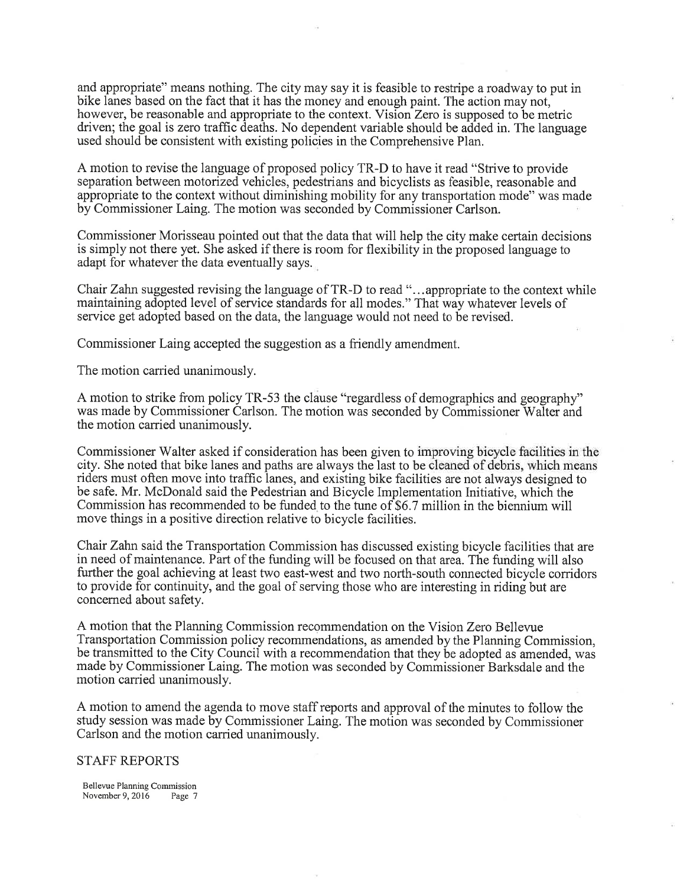and approprtate" means nothing. The city may say it is feasible to restripe a roadway to put in bike lanes based on the fact that it has the money and enough paint. The action may not, however, be reasonable and appropriate to the context. Vision Zero is supposed to be metric driven; the goal is zero traffic deaths. No dependent variable should be added in. The language used should be consistent with existing policies in the Comprehensive Plan.

A motion to revise the language of proposed policy TR-D to have it read "Strive to provide separation between motorized vehicles, pedestrians and bicyclists as feasible, reasonable and appropriate to the context without diminishing mobility for any transportation mode" was made by Commissioner Laing. The motion was seconded by Commissioner Carlson.

Commissioner Morisseau pointed out that the data that will help the city make certain decisions is simply not there yet. She asked if there is room for flexibility in the proposed language to adapt for whatever the data eventually says.

Chair Zahn suggested revising the language of TR-D to read "...appropriate to the context while maintaining adopted level of service standards for all modes." That way whatever levels of service get adopted based on the data, the language would not need to be revised.

Commissioner Laing accepted the suggestion as a friendly amendment.

The motion carried unanimously.

A motion to strike from policy TR-53 the clause "regardless of demographics and geography" was made by Commissioner Carlson. The motion was seconded by Commissioner Walter and the motion carried unanimously.

Commissioner Walter asked if consideration has been given to improving bicycle facilities in the city. She noted that bike lanes and paths are always the last to be riders must often move into traffic lanes, and existing bike facilities are not always designed to be safe. Mr. McDonald said the Pedestrian and Bicycle Implementation Initiative, which the Commission has recommended to be funded to the tune of \$6.7 million in the biennium will move things in a positive direction relative to bicycle facilities.

Chair Zahn said the Transportation Commission has discussed existing bicycle facilities that are in need of maintenance. Part of the funding will be focused on that area. The funding will also further the goal achieving at least two east-west and two north-south connected bicycle corridors to provide for continuity, and the goal of serving those who are interesting in riding but are concerned about safety.

A motion that the Planning Commission recommendation on the Vision Zero Bellevue Transportation Commission policy recommendations, as amended by the Planning Commission, be transmitted to the City Council with a recommendation that they be adopted as amended, was made by Commissioner Laing. The motion was seconded by Commissioner Barksdale and the motion carried unanimously.

A motion to amend the agenda to move staff reports and approval of the minutes to follow the study session was made by Commissioner Laing. The motion was seconded by Commissioner Carlson and the motion carried unanimously.

# STAFF REPORTS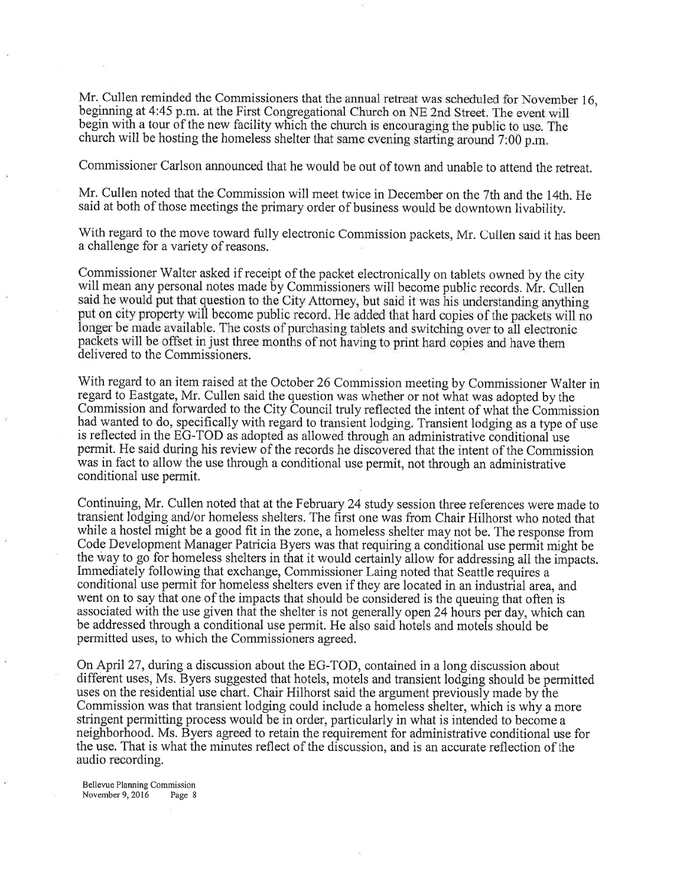Mr. Cullen reminded the Commissioners that the annual retreat was scheduled for November 16, beginning at 4:45 p.m. at the First Congregational Church on NE 2nd Street. The event will begin with a tour of the new facility which the church is encouraging the public to use. The church will be hosting the homeless shelter that same evening starting around 7:00 p.m.

Commissioner Carlson announced that he would be out of town and unabie to attend the retreat.

Mr. Cullen noted that the Commission will meet twice in December on the 7th and the 14th. He said at both of those meetings the primary order of business would be downtown livability.

With regard to the move toward fully electronic Commission packets, Mr. Cullen said it has been a challenge for a variety of reasons.

Commissioner Walter asked if receipt of the packet electronically on tablets owned by the city will mean any personal notes made by Commissioners will become public records. Mr. Cullen said he would put that question to the City Attorney, but said it was his understanding anything put on city property will become public record. He added that hard copies of the packets will no longer be made available. The costs of purchasing tablets and switching over to all electronic packets will be offset in just three months of not having to print hard copies and have them delivered to the Commissioners.

With regard to an item raised at the October 26 Commission meeting by Commissioner Walter in regard to Eastgate, Mr. Cullen said the question was whether or not what was adopted by the Commission and forwarded to the City Council truly reflected the intent of what the Commission had wanted to do, specifically with regard to transient lodging. Transient lodging as a type of use is reflected in the EG-TOD as adopted as allowed through an administrative conditional use permit. He said during his review of the records he discovered that the intent of the Commission was in fact to allow the use through a conditional use permit, not through an administrative conditional use permit.

Continuing, Mr. Cullen noted that at the February 24 study session three references were made to transient lodging and/or homeless shelters. The first one was from Chair Hilhorst who noted that while a hostel might be a good fit in the zone, a homeless shelter may not be. The response from Code Development Manager Patricia Byers was that requiring a conditional use permit might be the way to go for homeless shelters in that it would certainly allow for addressing all the impacts. Immediately following that exchange, Commissioner Laing noted that Seattle requires a conditional use permit for homeless shelters even if they are located in an industrial area, and went on to say that one of the impacts that should be considered is the queuing that often is associated with the use given that the shelter is not generally open24 hours per day, which can be addressed through a conditional use permit. He also said hotels and motels should be permitted uses, to which the Commissioners agreed.

On April 27, during a discussion about the EG-TOD, contained in a long discussion about different uses, Ms. Byers suggested that hotels, motels and transient lodging should be permitted uses on the residential use chart. Chair Hilhorst said the argument previously made by the Commission was that transient lodging could include a homeless shelter, which is why a more stringent permitting process would be in order, particularly in what is intended to become <sup>a</sup> neighborhood. Ms. Byers agreed to retain the requirement for administrative conditional use for the use. That is what the minutes reflect of the discussion, and is an accurate reflection of the audio recording.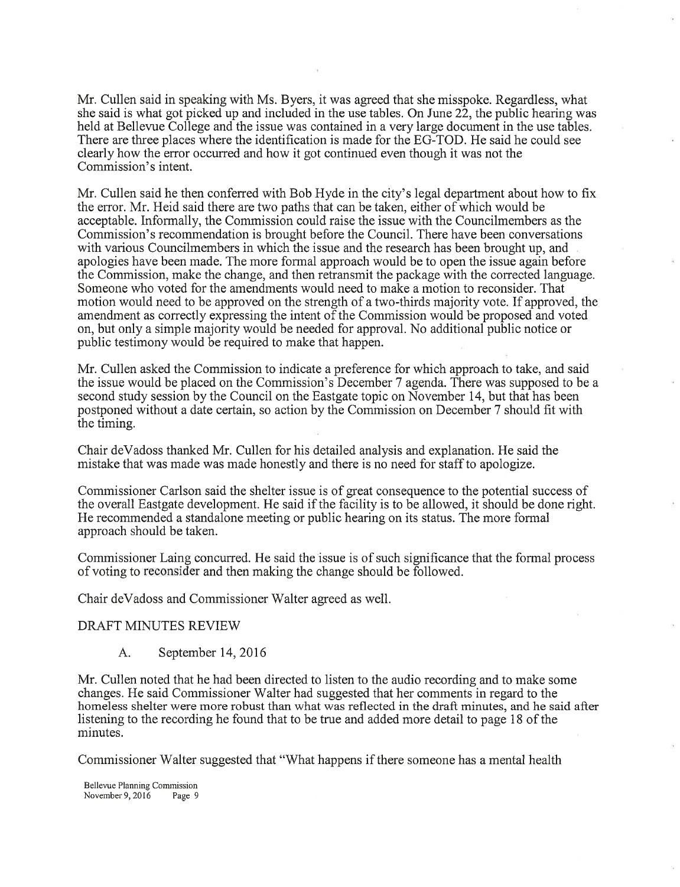Mr. Cullen said in speaking with Ms. Byers, it was agreed that she misspoke. Regardless, what she said is what got picked up and included in the use tables. On June 22, the public hearing was held at Bellevue College and the issue was contained in a very large document in the use tables. There are three places where the identification is made for the EG-TOD. He said he could see clearly how the error occurred and how it got continued even though it was not the Commission's intent.

Mr. Cullen said he then conferred with Bob Hyde in the city's legal department about how to fix the error. Mr. Heid said there are two paths that can be taken, either of which would be acceptable. Informally, the Commission could raise the issue with the Councilmembers as the Commission's recommendation is brought before the Council. There have been conversations with various Councilmembers in which the issue and the research has been brought up, and apologies have been made. The more formal approach would be to open the issue again before the Commission, make the change, and then retransmit the package with the corrected language. Someone who voted for the amendments would need to make a motion to reconsider. That motion would need to be approved on the strength of a two-thirds majority vote. If approved, the amendment as correctly expressing the intent of the Commission would be proposed and voted on, but only a simple majority would be needed for approval. No additional public notice or public testimony would be required to make that happen.

Mr. Cullen asked the Commission to indicate a preference for which approach to take, and said the issue would be placed on the Commission's December 7 agenda. There was supposed to be <sup>a</sup> second study session by the Council on the Eastgate topic on November 14, but that has been postponed without adate certain, so action by the Commission on December 7 should fit with the timing.

Chair deVadoss thanked Mr. Cullen for his detailed analysis and explanation. He said the mistake that was made was made honestly and there is no need for staff to apologize.

Commissioner Carlson said the shelter issue is of great consequence to the potential success of the overall Eastgate development. He said if the facility is to be allowed, it should be done right. He recommended a standalone meeting or public hearing on its status. The more formal approach should be taken.

Commissioner Laing concurred. He said the issue is of such significance that the formal process of voting to reconsider and then making the change should be followed.

Chair deVadoss and Commissioner Walter agreed as well.

# DRAFT MINUTES REVIEW

A. September 14, 2016

Mr. Cullen noted that he had been directed to listen to the audio recording and to make some changes. He said Commissioner Walter had suggested that her comments in regard to the homeless shelter were more robust than what was reflected in the draft minutes, and he said after listening to the recording he found that to be true and added more detail to page 18 of the minutes.

Commissioner Walter suggested that "What happens if there someone has a mental health